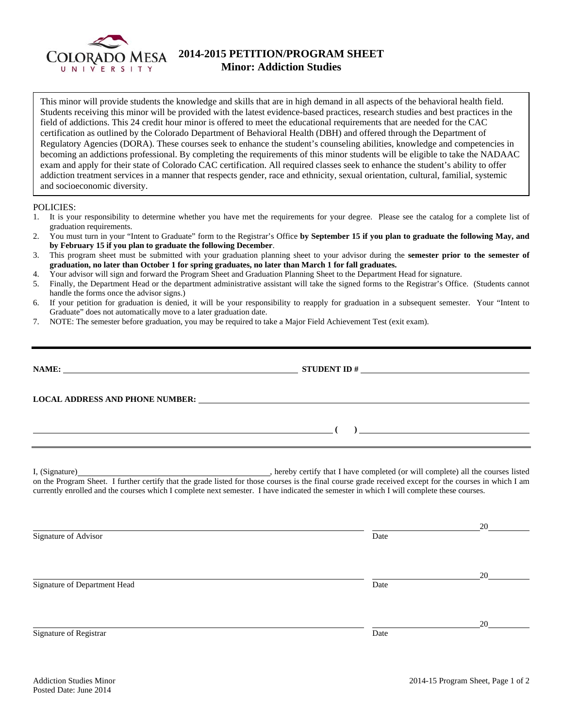

## **2014-2015 PETITION/PROGRAM SHEET Minor: Addiction Studies**

This minor will provide students the knowledge and skills that are in high demand in all aspects of the behavioral health field. Students receiving this minor will be provided with the latest evidence-based practices, research studies and best practices in the field of addictions. This 24 credit hour minor is offered to meet the educational requirements that are needed for the CAC certification as outlined by the Colorado Department of Behavioral Health (DBH) and offered through the Department of Regulatory Agencies (DORA). These courses seek to enhance the student's counseling abilities, knowledge and competencies in becoming an addictions professional. By completing the requirements of this minor students will be eligible to take the NADAAC exam and apply for their state of Colorado CAC certification. All required classes seek to enhance the student's ability to offer addiction treatment services in a manner that respects gender, race and ethnicity, sexual orientation, cultural, familial, systemic and socioeconomic diversity.

## POLICIES:

- 1. It is your responsibility to determine whether you have met the requirements for your degree. Please see the catalog for a complete list of graduation requirements.
- 2. You must turn in your "Intent to Graduate" form to the Registrar's Office **by September 15 if you plan to graduate the following May, and by February 15 if you plan to graduate the following December**.
- 3. This program sheet must be submitted with your graduation planning sheet to your advisor during the **semester prior to the semester of graduation, no later than October 1 for spring graduates, no later than March 1 for fall graduates.**
- 4. Your advisor will sign and forward the Program Sheet and Graduation Planning Sheet to the Department Head for signature.
- 5. Finally, the Department Head or the department administrative assistant will take the signed forms to the Registrar's Office. (Students cannot handle the forms once the advisor signs.)
- 6. If your petition for graduation is denied, it will be your responsibility to reapply for graduation in a subsequent semester. Your "Intent to Graduate" does not automatically move to a later graduation date.
- 7. NOTE: The semester before graduation, you may be required to take a Major Field Achievement Test (exit exam).

| $\overline{a}$ (b) and $\overline{a}$ and $\overline{a}$ and $\overline{a}$ and $\overline{a}$ and $\overline{a}$ and $\overline{a}$ and $\overline{a}$ and $\overline{a}$ and $\overline{a}$ and $\overline{a}$ and $\overline{a}$ and $\overline{a}$ and $\overline{a}$ and $\overline{a}$ and $\overline{a}$ and $\overline{a}$ |
|------------------------------------------------------------------------------------------------------------------------------------------------------------------------------------------------------------------------------------------------------------------------------------------------------------------------------------|
| on the Program Sheet. I further certify that the grade listed for those courses is the final course grade received except for the courses in which I am<br>currently enrolled and the courses which I complete next semester. I have indicated the semester in which I will complete these courses.                                |

|                              |      | 20 |
|------------------------------|------|----|
| Signature of Advisor         | Date |    |
|                              |      |    |
|                              |      | 20 |
| Signature of Department Head | Date |    |
|                              |      |    |
|                              |      |    |
|                              |      | 20 |
| Signature of Registrar       | Date |    |
|                              |      |    |
|                              |      |    |